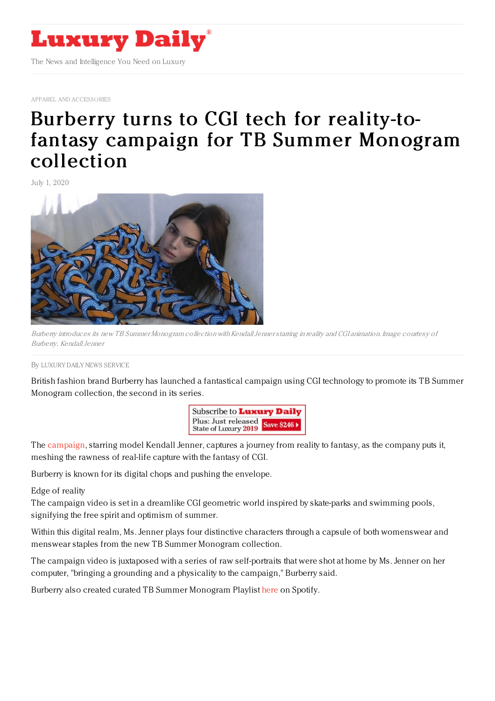

APPAREL AND [ACCESSORIES](https://www.luxurydaily.com/category/sectors/apparel-and-accessories/)

## Burberry turns to CGI tech for reality-tofantasy campaign for TB Summer [Monogram](https://www.luxurydaily.com/burberry-turns-to-cgi-tech-for-reality-to-fantasy-campaign-for-tb-summer-monogram-collection/) collection

July 1, 2020



Burberry introduces its new TB Summer Monogram collection with Kendall Jenner starring in reality and CGI animation. Image courtesy of Burberry, KendallJenner

## By LUXURY DAILY NEWS [SERVICE](file:///author/luxury-daily-news-service)

British fashion brand Burberry has launched a fantastical campaign using CGI technology to promote its TB Summer Monogram collection, the second in its series.



The [campaign](https://row.burberry.com/tb-summer-monogram-collection-women/), starring model Kendall Jenner, captures a journey from reality to fantasy, as the company puts it, meshing the rawness of real-life capture with the fantasy of CGI.

Burberry is known for its digital chops and pushing the envelope.

Edge of reality

The campaign video is set in a dreamlike CGI geometric world inspired by skate-parks and swimming pools, signifying the free spirit and optimism of summer.

Within this digital realm, Ms. Jenner plays four distinctive characters through a capsule of both womenswear and menswear staples from the new TB Summer Monogram collection.

The campaign video is juxtaposed with a series of raw self-portraits that were shot at home by Ms. Jenner on her computer, "bringing a grounding and a physicality to the campaign," Burberry said.

Burberry also created curated TB Summer Monogram Playlist [here](https://eur02.safelinks.protection.outlook.com/?url=https%253A%252F%252Fopen.spotify.com%252Fplaylist%252F1aH3zJ6LXLs4RvLwQFiWMF%253Fsi%253DyZH4eFOBTHiASoj33PlcHQ&data=02%257C01%257CCarly.Baum%2540burberry.com%257C694abc1d14c14d0a152908d81d16c207%257C8535436a46bb4cc6a9c99ec392e449ee%257C0%257C0%257C637291331004009561&sdata=MPsd1fH7agRWezqlUAE7KAQL%252BxU1ByIa6mStfDuamtg%253D&reserved=0) on Spotify.